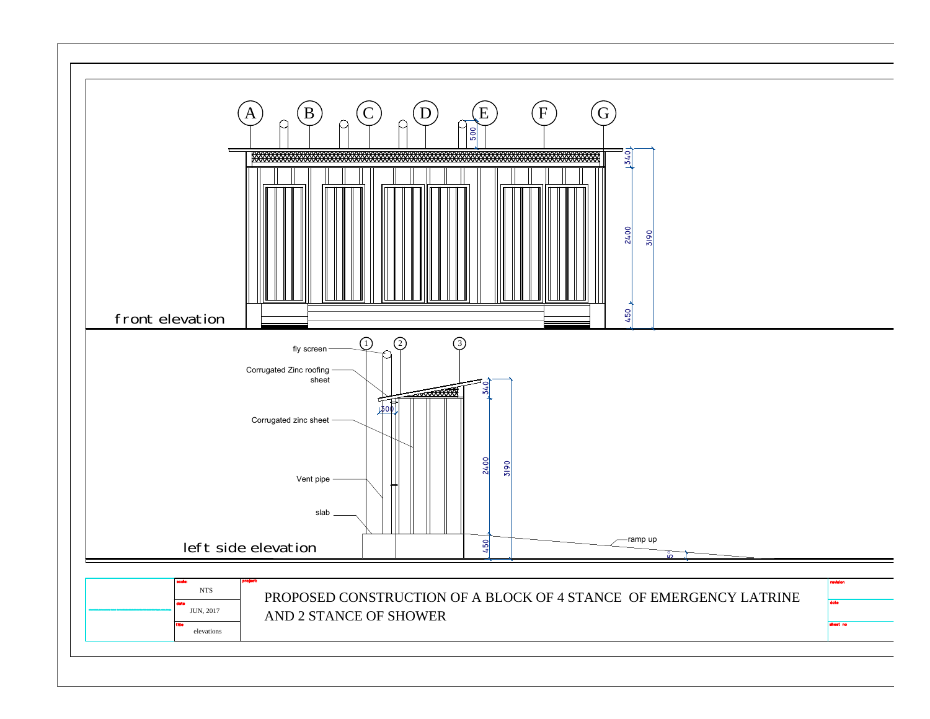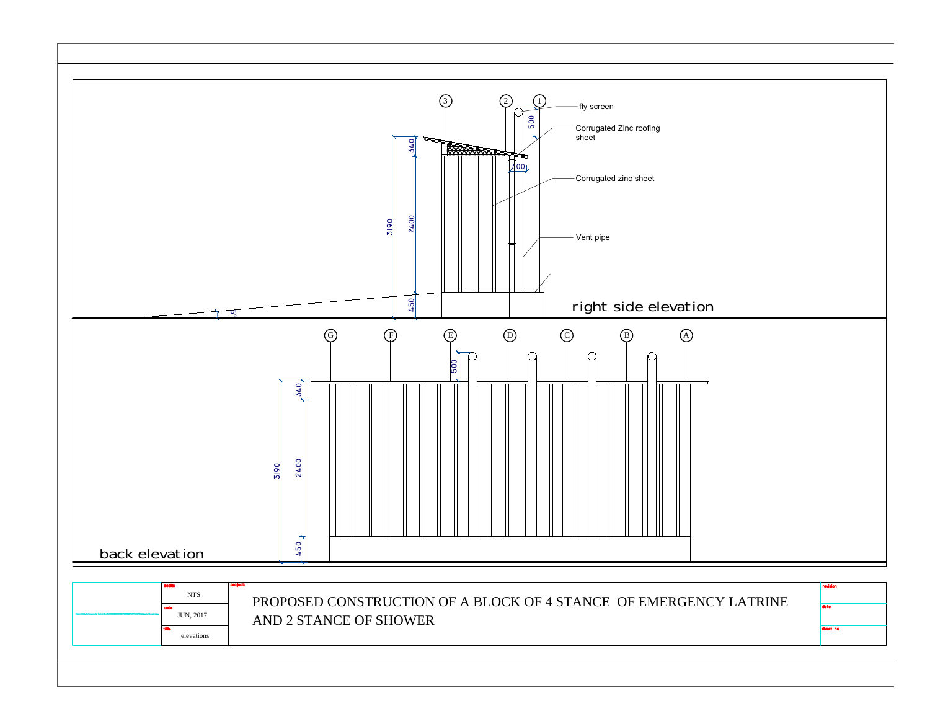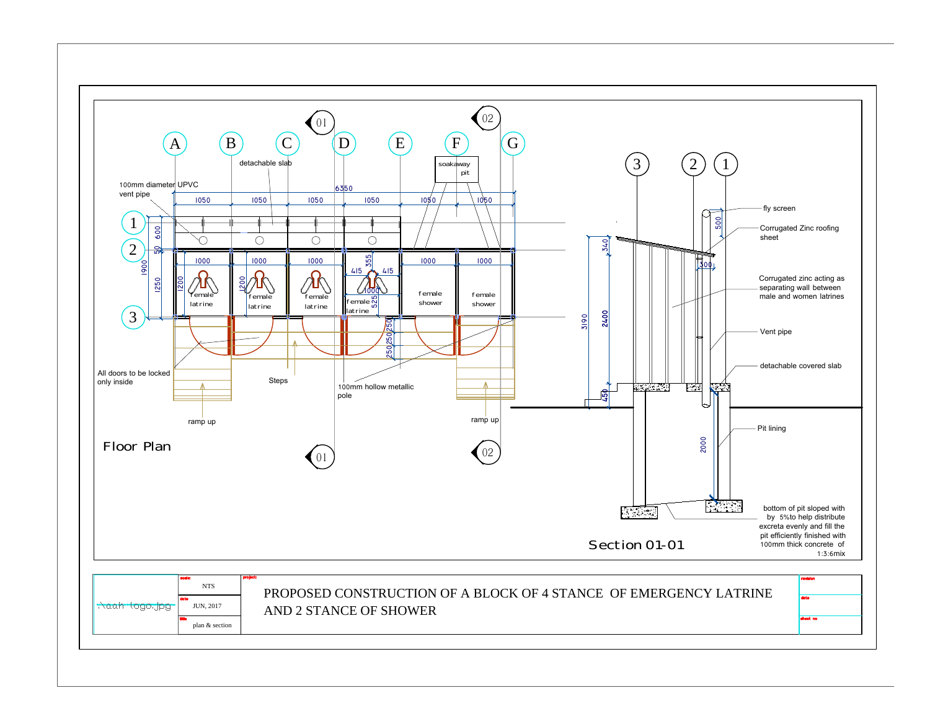